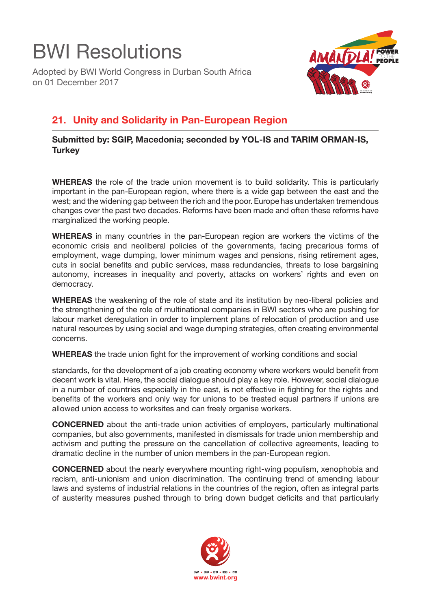## BWI Resolutions

Adopted by BWI World Congress in Durban South Africa on 01 December 2017



## **21. Unity and Solidarity in Pan-European Region**

**Submitted by: SGIP, Macedonia; seconded by YOL-IS and TARIM ORMAN-IS, Turkey** 

**WHEREAS** the role of the trade union movement is to build solidarity. This is particularly important in the pan-European region, where there is a wide gap between the east and the west; and the widening gap between the rich and the poor. Europe has undertaken tremendous changes over the past two decades. Reforms have been made and often these reforms have marginalized the working people.

**WHEREAS** in many countries in the pan-European region are workers the victims of the economic crisis and neoliberal policies of the governments, facing precarious forms of employment, wage dumping, lower minimum wages and pensions, rising retirement ages, cuts in social benefits and public services, mass redundancies, threats to lose bargaining autonomy, increases in inequality and poverty, attacks on workers' rights and even on democracy.

**WHEREAS** the weakening of the role of state and its institution by neo-liberal policies and the strengthening of the role of multinational companies in BWI sectors who are pushing for labour market deregulation in order to implement plans of relocation of production and use natural resources by using social and wage dumping strategies, often creating environmental concerns.

**WHEREAS** the trade union fight for the improvement of working conditions and social

standards, for the development of a job creating economy where workers would benefit from decent work is vital. Here, the social dialogue should play a key role. However, social dialogue in a number of countries especially in the east, is not effective in fighting for the rights and benefits of the workers and only way for unions to be treated equal partners if unions are allowed union access to worksites and can freely organise workers.

**CONCERNED** about the anti-trade union activities of employers, particularly multinational companies, but also governments, manifested in dismissals for trade union membership and activism and putting the pressure on the cancellation of collective agreements, leading to dramatic decline in the number of union members in the pan-European region.

**CONCERNED** about the nearly everywhere mounting right-wing populism, xenophobia and racism, anti-unionism and union discrimination. The continuing trend of amending labour laws and systems of industrial relations in the countries of the region, often as integral parts of austerity measures pushed through to bring down budget deficits and that particularly